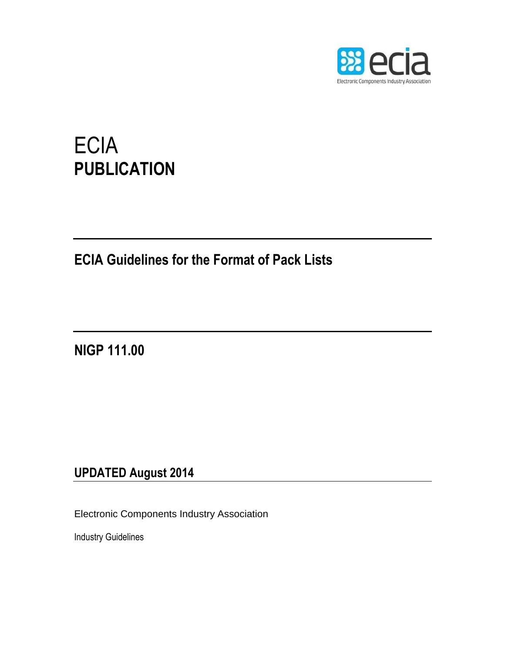

# **ECIA PUBLICATION**

## **ECIA Guidelines for the Format of Pack Lists**

**NIGP 111.00**

### **UPDATED August 2014**

Electronic Components Industry Association

Industry Guidelines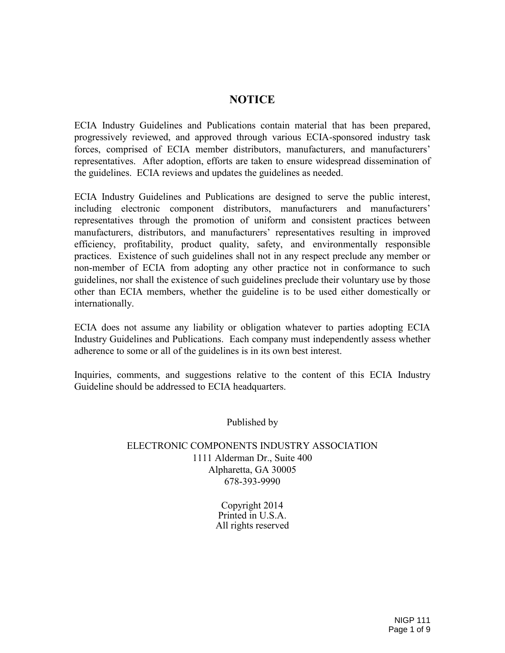#### **NOTICE**

ECIA Industry Guidelines and Publications contain material that has been prepared, progressively reviewed, and approved through various ECIA-sponsored industry task forces, comprised of ECIA member distributors, manufacturers, and manufacturers' representatives. After adoption, efforts are taken to ensure widespread dissemination of the guidelines. ECIA reviews and updates the guidelines as needed.

ECIA Industry Guidelines and Publications are designed to serve the public interest, including electronic component distributors, manufacturers and manufacturers' representatives through the promotion of uniform and consistent practices between manufacturers, distributors, and manufacturers' representatives resulting in improved efficiency, profitability, product quality, safety, and environmentally responsible practices. Existence of such guidelines shall not in any respect preclude any member or non-member of ECIA from adopting any other practice not in conformance to such guidelines, nor shall the existence of such guidelines preclude their voluntary use by those other than ECIA members, whether the guideline is to be used either domestically or internationally.

ECIA does not assume any liability or obligation whatever to parties adopting ECIA Industry Guidelines and Publications. Each company must independently assess whether adherence to some or all of the guidelines is in its own best interest.

Inquiries, comments, and suggestions relative to the content of this ECIA Industry Guideline should be addressed to ECIA headquarters.

Published by

#### ELECTRONIC COMPONENTS INDUSTRY ASSOCIATION 1111 Alderman Dr., Suite 400 Alpharetta, GA 30005 678-393-9990

Copyright 2014 Printed in U.S.A. All rights reserved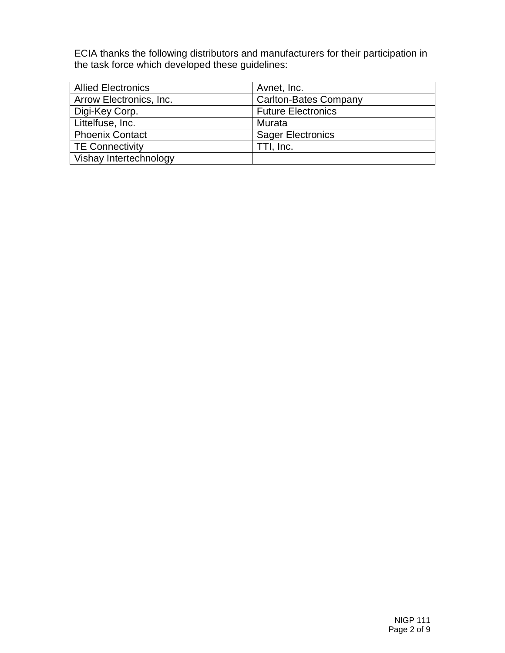ECIA thanks the following distributors and manufacturers for their participation in the task force which developed these guidelines:

| <b>Allied Electronics</b> | Avnet, Inc.                  |
|---------------------------|------------------------------|
| Arrow Electronics, Inc.   | <b>Carlton-Bates Company</b> |
| Digi-Key Corp.            | <b>Future Electronics</b>    |
| Littelfuse, Inc.          | Murata                       |
| <b>Phoenix Contact</b>    | <b>Sager Electronics</b>     |
| <b>TE Connectivity</b>    | TTI, Inc.                    |
| Vishay Intertechnology    |                              |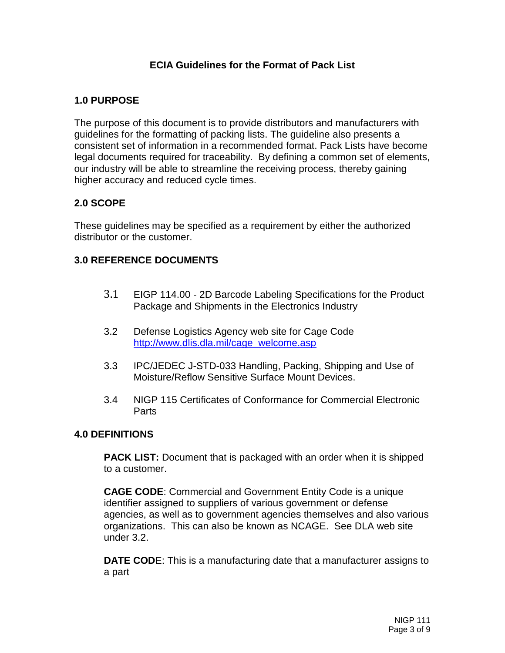#### **ECIA Guidelines for the Format of Pack List**

#### **1.0 PURPOSE**

The purpose of this document is to provide distributors and manufacturers with guidelines for the formatting of packing lists. The guideline also presents a consistent set of information in a recommended format. Pack Lists have become legal documents required for traceability. By defining a common set of elements, our industry will be able to streamline the receiving process, thereby gaining higher accuracy and reduced cycle times.

#### **2.0 SCOPE**

These guidelines may be specified as a requirement by either the authorized distributor or the customer.

#### **3.0 REFERENCE DOCUMENTS**

- 3.1 EIGP 114.00 2D Barcode Labeling Specifications for the Product Package and Shipments in the Electronics Industry
- 3.2 Defense Logistics Agency web site for Cage Code [http://www.dlis.dla.mil/cage\\_welcome.asp](http://www.dlis.dla.mil/cage_welcome.asp)
- 3.3 IPC/JEDEC J-STD-033 Handling, Packing, Shipping and Use of Moisture/Reflow Sensitive Surface Mount Devices.
- 3.4 NIGP 115 Certificates of Conformance for Commercial Electronic Parts

#### **4.0 DEFINITIONS**

**PACK LIST:** Document that is packaged with an order when it is shipped to a customer.

**CAGE CODE**: Commercial and Government Entity Code is a unique identifier assigned to suppliers of various government or defense agencies, as well as to government agencies themselves and also various organizations. This can also be known as NCAGE. See DLA web site under 3.2.

**DATE COD**E: This is a manufacturing date that a manufacturer assigns to a part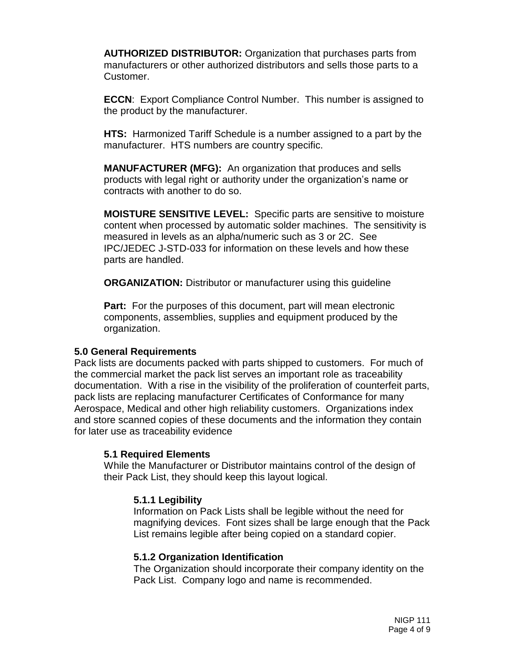**AUTHORIZED DISTRIBUTOR:** Organization that purchases parts from manufacturers or other authorized distributors and sells those parts to a Customer.

**ECCN:** Export Compliance Control Number. This number is assigned to the product by the manufacturer.

**HTS:** Harmonized Tariff Schedule is a number assigned to a part by the manufacturer. HTS numbers are country specific.

**MANUFACTURER (MFG):** An organization that produces and sells products with legal right or authority under the organization's name or contracts with another to do so.

**MOISTURE SENSITIVE LEVEL:** Specific parts are sensitive to moisture content when processed by automatic solder machines. The sensitivity is measured in levels as an alpha/numeric such as 3 or 2C. See IPC/JEDEC J-STD-033 for information on these levels and how these parts are handled.

**ORGANIZATION:** Distributor or manufacturer using this guideline

**Part:** For the purposes of this document, part will mean electronic components, assemblies, supplies and equipment produced by the organization.

#### **5.0 General Requirements**

Pack lists are documents packed with parts shipped to customers. For much of the commercial market the pack list serves an important role as traceability documentation. With a rise in the visibility of the proliferation of counterfeit parts, pack lists are replacing manufacturer Certificates of Conformance for many Aerospace, Medical and other high reliability customers. Organizations index and store scanned copies of these documents and the information they contain for later use as traceability evidence

#### **5.1 Required Elements**

While the Manufacturer or Distributor maintains control of the design of their Pack List, they should keep this layout logical.

#### **5.1.1 Legibility**

Information on Pack Lists shall be legible without the need for magnifying devices. Font sizes shall be large enough that the Pack List remains legible after being copied on a standard copier.

#### **5.1.2 Organization Identification**

The Organization should incorporate their company identity on the Pack List. Company logo and name is recommended.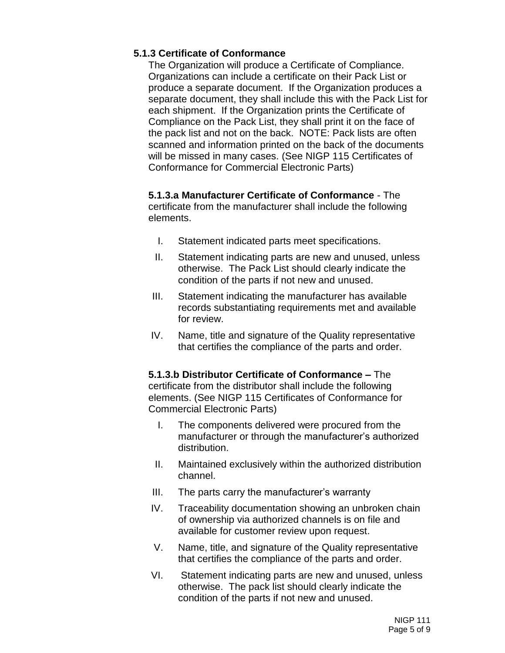#### **5.1.3 Certificate of Conformance**

The Organization will produce a Certificate of Compliance. Organizations can include a certificate on their Pack List or produce a separate document. If the Organization produces a separate document, they shall include this with the Pack List for each shipment. If the Organization prints the Certificate of Compliance on the Pack List, they shall print it on the face of the pack list and not on the back. NOTE: Pack lists are often scanned and information printed on the back of the documents will be missed in many cases. (See NIGP 115 Certificates of Conformance for Commercial Electronic Parts)

**5.1.3.a Manufacturer Certificate of Conformance** - The certificate from the manufacturer shall include the following elements.

- I. Statement indicated parts meet specifications.
- II. Statement indicating parts are new and unused, unless otherwise. The Pack List should clearly indicate the condition of the parts if not new and unused.
- III. Statement indicating the manufacturer has available records substantiating requirements met and available for review.
- IV. Name, title and signature of the Quality representative that certifies the compliance of the parts and order.

**5.1.3.b Distributor Certificate of Conformance –** The certificate from the distributor shall include the following elements. (See NIGP 115 Certificates of Conformance for Commercial Electronic Parts)

- I. The components delivered were procured from the manufacturer or through the manufacturer's authorized distribution.
- II. Maintained exclusively within the authorized distribution channel.
- III. The parts carry the manufacturer's warranty
- IV. Traceability documentation showing an unbroken chain of ownership via authorized channels is on file and available for customer review upon request.
- V. Name, title, and signature of the Quality representative that certifies the compliance of the parts and order.
- VI. Statement indicating parts are new and unused, unless otherwise. The pack list should clearly indicate the condition of the parts if not new and unused.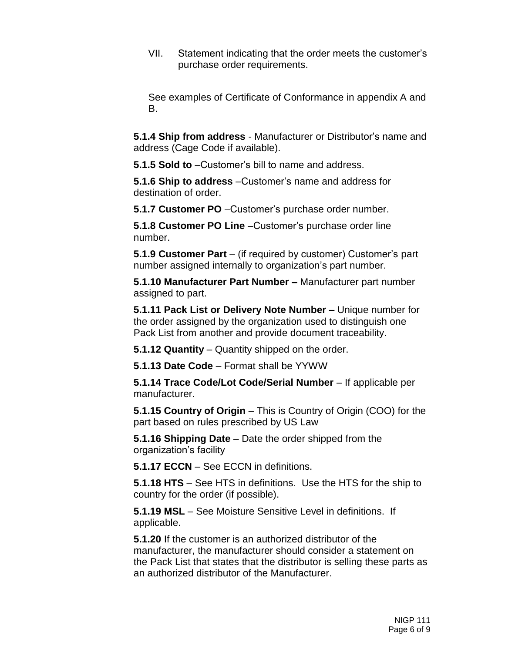VII. Statement indicating that the order meets the customer's purchase order requirements.

See examples of Certificate of Conformance in appendix A and B.

**5.1.4 Ship from address** - Manufacturer or Distributor's name and address (Cage Code if available).

**5.1.5 Sold to** –Customer's bill to name and address.

**5.1.6 Ship to address** –Customer's name and address for destination of order.

**5.1.7 Customer PO** –Customer's purchase order number.

**5.1.8 Customer PO Line** –Customer's purchase order line number.

**5.1.9 Customer Part** – (if required by customer) Customer's part number assigned internally to organization's part number.

**5.1.10 Manufacturer Part Number –** Manufacturer part number assigned to part.

**5.1.11 Pack List or Delivery Note Number –** Unique number for the order assigned by the organization used to distinguish one Pack List from another and provide document traceability.

**5.1.12 Quantity** – Quantity shipped on the order.

**5.1.13 Date Code** – Format shall be YYWW

**5.1.14 Trace Code/Lot Code/Serial Number** – If applicable per manufacturer.

**5.1.15 Country of Origin** – This is Country of Origin (COO) for the part based on rules prescribed by US Law

**5.1.16 Shipping Date** – Date the order shipped from the organization's facility

**5.1.17 ECCN** – See ECCN in definitions.

**5.1.18 HTS** – See HTS in definitions. Use the HTS for the ship to country for the order (if possible).

**5.1.19 MSL** – See Moisture Sensitive Level in definitions. If applicable.

**5.1.20** If the customer is an authorized distributor of the manufacturer, the manufacturer should consider a statement on the Pack List that states that the distributor is selling these parts as an authorized distributor of the Manufacturer.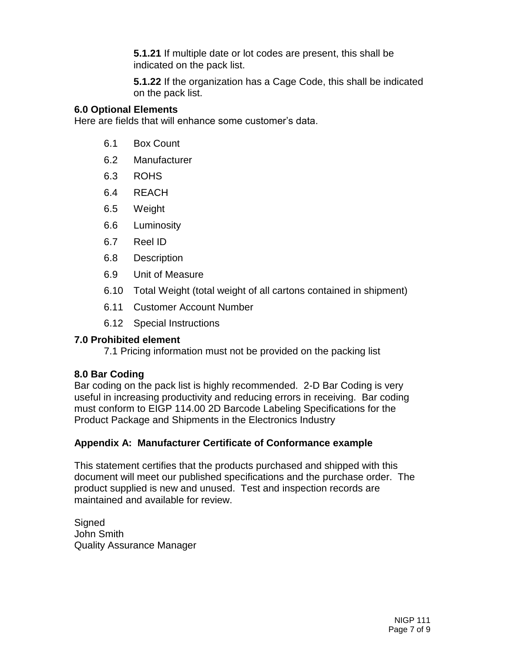**5.1.21** If multiple date or lot codes are present, this shall be indicated on the pack list.

**5.1.22** If the organization has a Cage Code, this shall be indicated on the pack list.

#### **6.0 Optional Elements**

Here are fields that will enhance some customer's data.

- 6.1 Box Count
- 6.2 Manufacturer
- 6.3 ROHS
- 6.4 REACH
- 6.5 Weight
- 6.6 Luminosity
- 6.7 Reel ID
- 6.8 Description
- 6.9 Unit of Measure
- 6.10 Total Weight (total weight of all cartons contained in shipment)
- 6.11 Customer Account Number
- 6.12 Special Instructions

#### **7.0 Prohibited element**

7.1 Pricing information must not be provided on the packing list

#### **8.0 Bar Coding**

Bar coding on the pack list is highly recommended. 2-D Bar Coding is very useful in increasing productivity and reducing errors in receiving. Bar coding must conform to EIGP 114.00 2D Barcode Labeling Specifications for the Product Package and Shipments in the Electronics Industry

#### **Appendix A: Manufacturer Certificate of Conformance example**

This statement certifies that the products purchased and shipped with this document will meet our published specifications and the purchase order. The product supplied is new and unused. Test and inspection records are maintained and available for review.

**Signed** John Smith Quality Assurance Manager